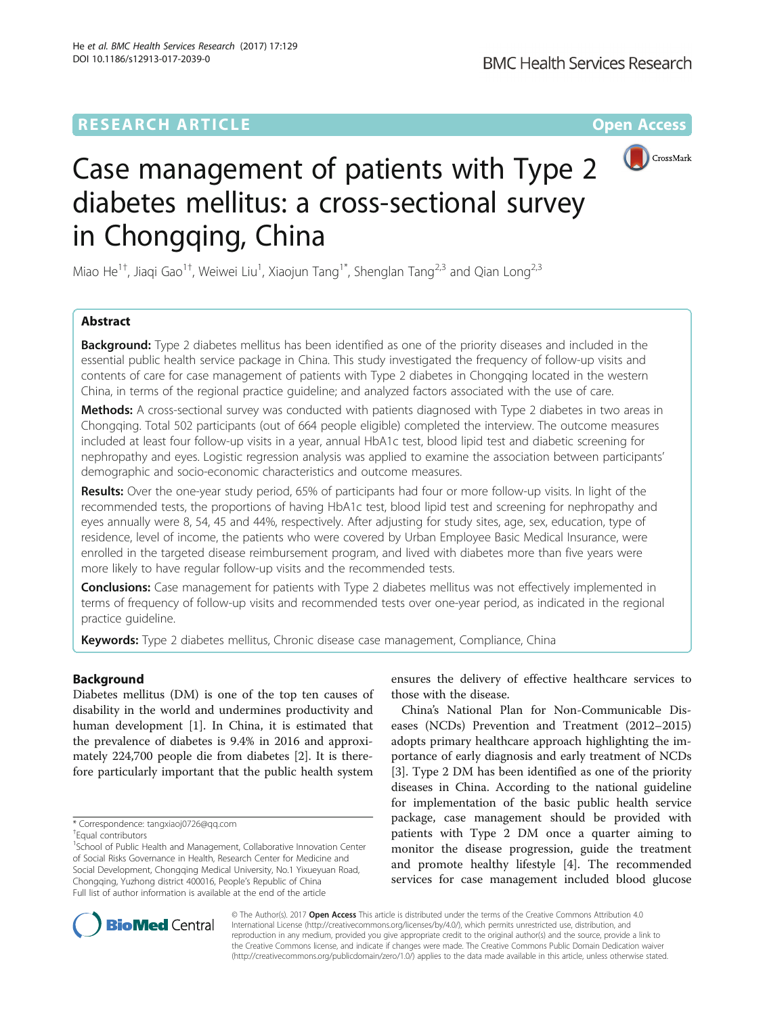# **RESEARCH ARTICLE Example 2014 12:30 The Contract of Contract ACCESS**



# Case management of patients with Type 2 diabetes mellitus: a cross-sectional survey in Chongqing, China

Miao He<sup>1†</sup>, Jiaqi Gao<sup>1†</sup>, Weiwei Liu<sup>1</sup>, Xiaojun Tang<sup>1\*</sup>, Shenglan Tang<sup>2,3</sup> and Qian Long<sup>2,3</sup>

# Abstract

**Background:** Type 2 diabetes mellitus has been identified as one of the priority diseases and included in the essential public health service package in China. This study investigated the frequency of follow-up visits and contents of care for case management of patients with Type 2 diabetes in Chongqing located in the western China, in terms of the regional practice guideline; and analyzed factors associated with the use of care.

Methods: A cross-sectional survey was conducted with patients diagnosed with Type 2 diabetes in two areas in Chongqing. Total 502 participants (out of 664 people eligible) completed the interview. The outcome measures included at least four follow-up visits in a year, annual HbA1c test, blood lipid test and diabetic screening for nephropathy and eyes. Logistic regression analysis was applied to examine the association between participants' demographic and socio-economic characteristics and outcome measures.

Results: Over the one-year study period, 65% of participants had four or more follow-up visits. In light of the recommended tests, the proportions of having HbA1c test, blood lipid test and screening for nephropathy and eyes annually were 8, 54, 45 and 44%, respectively. After adjusting for study sites, age, sex, education, type of residence, level of income, the patients who were covered by Urban Employee Basic Medical Insurance, were enrolled in the targeted disease reimbursement program, and lived with diabetes more than five years were more likely to have regular follow-up visits and the recommended tests.

**Conclusions:** Case management for patients with Type 2 diabetes mellitus was not effectively implemented in terms of frequency of follow-up visits and recommended tests over one-year period, as indicated in the regional practice guideline.

Keywords: Type 2 diabetes mellitus, Chronic disease case management, Compliance, China

# Background

Diabetes mellitus (DM) is one of the top ten causes of disability in the world and undermines productivity and human development [\[1](#page-7-0)]. In China, it is estimated that the prevalence of diabetes is 9.4% in 2016 and approximately 224,700 people die from diabetes [\[2](#page-7-0)]. It is therefore particularly important that the public health system

<sup>1</sup>School of Public Health and Management, Collaborative Innovation Center of Social Risks Governance in Health, Research Center for Medicine and Social Development, Chongqing Medical University, No.1 Yixueyuan Road, Chongqing, Yuzhong district 400016, People's Republic of China Full list of author information is available at the end of the article

ensures the delivery of effective healthcare services to those with the disease.

China's National Plan for Non-Communicable Diseases (NCDs) Prevention and Treatment (2012–2015) adopts primary healthcare approach highlighting the importance of early diagnosis and early treatment of NCDs [[3\]](#page-7-0). Type 2 DM has been identified as one of the priority diseases in China. According to the national guideline for implementation of the basic public health service package, case management should be provided with patients with Type 2 DM once a quarter aiming to monitor the disease progression, guide the treatment and promote healthy lifestyle [[4\]](#page-7-0). The recommended services for case management included blood glucose



© The Author(s). 2017 **Open Access** This article is distributed under the terms of the Creative Commons Attribution 4.0 International License [\(http://creativecommons.org/licenses/by/4.0/](http://creativecommons.org/licenses/by/4.0/)), which permits unrestricted use, distribution, and reproduction in any medium, provided you give appropriate credit to the original author(s) and the source, provide a link to the Creative Commons license, and indicate if changes were made. The Creative Commons Public Domain Dedication waiver [\(http://creativecommons.org/publicdomain/zero/1.0/](http://creativecommons.org/publicdomain/zero/1.0/)) applies to the data made available in this article, unless otherwise stated.

<sup>\*</sup> Correspondence: [tangxiaoj0726@qq.com](mailto:tangxiaoj0726@qq.com) †

Equal contributors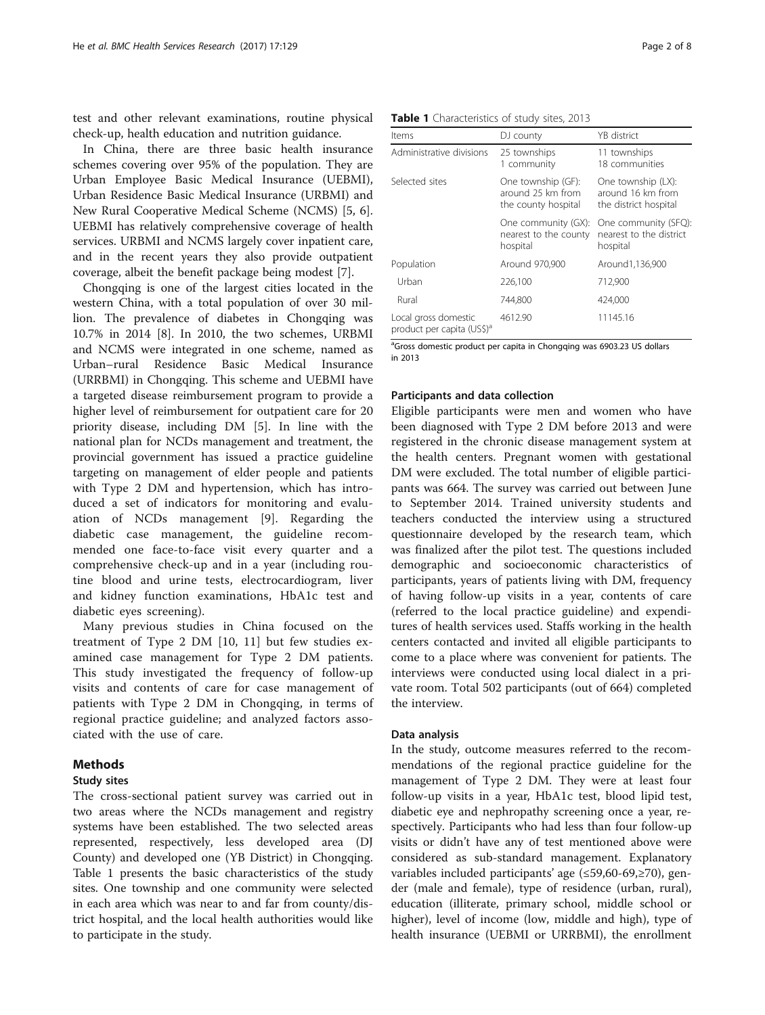test and other relevant examinations, routine physical check-up, health education and nutrition guidance.

In China, there are three basic health insurance schemes covering over 95% of the population. They are Urban Employee Basic Medical Insurance (UEBMI), Urban Residence Basic Medical Insurance (URBMI) and New Rural Cooperative Medical Scheme (NCMS) [[5, 6](#page-7-0)]. UEBMI has relatively comprehensive coverage of health services. URBMI and NCMS largely cover inpatient care, and in the recent years they also provide outpatient coverage, albeit the benefit package being modest [[7\]](#page-7-0).

Chongqing is one of the largest cities located in the western China, with a total population of over 30 million. The prevalence of diabetes in Chongqing was 10.7% in 2014 [\[8](#page-7-0)]. In 2010, the two schemes, URBMI and NCMS were integrated in one scheme, named as Urban–rural Residence Basic Medical Insurance (URRBMI) in Chongqing. This scheme and UEBMI have a targeted disease reimbursement program to provide a higher level of reimbursement for outpatient care for 20 priority disease, including DM [[5\]](#page-7-0). In line with the national plan for NCDs management and treatment, the provincial government has issued a practice guideline targeting on management of elder people and patients with Type 2 DM and hypertension, which has introduced a set of indicators for monitoring and evaluation of NCDs management [\[9](#page-7-0)]. Regarding the diabetic case management, the guideline recommended one face-to-face visit every quarter and a comprehensive check-up and in a year (including routine blood and urine tests, electrocardiogram, liver and kidney function examinations, HbA1c test and diabetic eyes screening).

Many previous studies in China focused on the treatment of Type 2 DM [[10](#page-7-0), [11\]](#page-7-0) but few studies examined case management for Type 2 DM patients. This study investigated the frequency of follow-up visits and contents of care for case management of patients with Type 2 DM in Chongqing, in terms of regional practice guideline; and analyzed factors associated with the use of care.

# Methods

# Study sites

The cross-sectional patient survey was carried out in two areas where the NCDs management and registry systems have been established. The two selected areas represented, respectively, less developed area (DJ County) and developed one (YB District) in Chongqing. Table 1 presents the basic characteristics of the study sites. One township and one community were selected in each area which was near to and far from county/district hospital, and the local health authorities would like to participate in the study.

| Items                                                          | DJ county                                                      | YB district                                                      |
|----------------------------------------------------------------|----------------------------------------------------------------|------------------------------------------------------------------|
| Administrative divisions                                       | 25 townships<br>1 community                                    | 11 townships<br>18 communities                                   |
| Selected sites                                                 | One township (GF):<br>around 25 km from<br>the county hospital | One township (LX):<br>around 16 km from<br>the district hospital |
|                                                                | One community (GX):<br>nearest to the county<br>hospital       | One community (SFQ):<br>nearest to the district<br>hospital      |
| Population                                                     | Around 970,900                                                 | Around1,136,900                                                  |
| Urban                                                          | 226,100                                                        | 712,900                                                          |
| Rural                                                          | 744,800                                                        | 424,000                                                          |
| Local gross domestic<br>product per capita (US\$) <sup>a</sup> | 4612.90                                                        | 11145.16                                                         |

<sup>a</sup>Gross domestic product per capita in Chongqing was 6903.23 US dollars in 2013

# Participants and data collection

Eligible participants were men and women who have been diagnosed with Type 2 DM before 2013 and were registered in the chronic disease management system at the health centers. Pregnant women with gestational DM were excluded. The total number of eligible participants was 664. The survey was carried out between June to September 2014. Trained university students and teachers conducted the interview using a structured questionnaire developed by the research team, which was finalized after the pilot test. The questions included demographic and socioeconomic characteristics of participants, years of patients living with DM, frequency of having follow-up visits in a year, contents of care (referred to the local practice guideline) and expenditures of health services used. Staffs working in the health centers contacted and invited all eligible participants to come to a place where was convenient for patients. The interviews were conducted using local dialect in a private room. Total 502 participants (out of 664) completed the interview.

# Data analysis

In the study, outcome measures referred to the recommendations of the regional practice guideline for the management of Type 2 DM. They were at least four follow-up visits in a year, HbA1c test, blood lipid test, diabetic eye and nephropathy screening once a year, respectively. Participants who had less than four follow-up visits or didn't have any of test mentioned above were considered as sub-standard management. Explanatory variables included participants' age (≤59,60-69,≥70), gender (male and female), type of residence (urban, rural), education (illiterate, primary school, middle school or higher), level of income (low, middle and high), type of health insurance (UEBMI or URRBMI), the enrollment

#### Table 1 Characteristics of study sites, 2013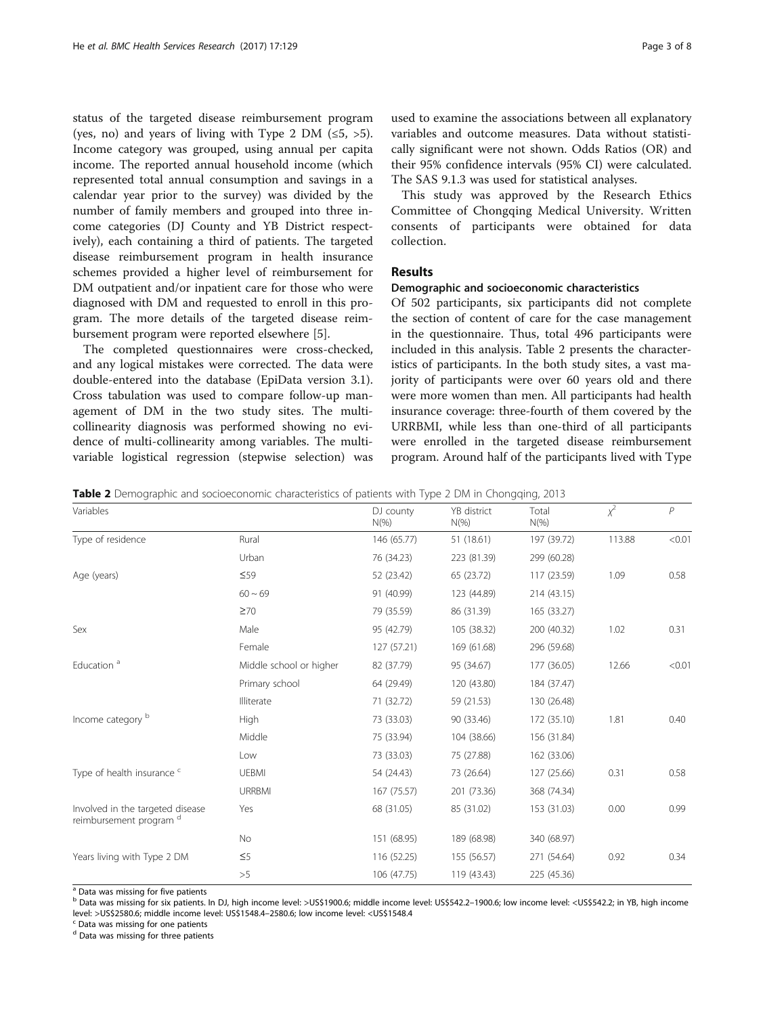status of the targeted disease reimbursement program (yes, no) and years of living with Type 2 DM  $(\leq 5, >5)$ . Income category was grouped, using annual per capita income. The reported annual household income (which represented total annual consumption and savings in a calendar year prior to the survey) was divided by the number of family members and grouped into three income categories (DJ County and YB District respectively), each containing a third of patients. The targeted disease reimbursement program in health insurance schemes provided a higher level of reimbursement for DM outpatient and/or inpatient care for those who were diagnosed with DM and requested to enroll in this program. The more details of the targeted disease reimbursement program were reported elsewhere [[5\]](#page-7-0).

The completed questionnaires were cross-checked, and any logical mistakes were corrected. The data were double-entered into the database (EpiData version 3.1). Cross tabulation was used to compare follow-up management of DM in the two study sites. The multicollinearity diagnosis was performed showing no evidence of multi-collinearity among variables. The multivariable logistical regression (stepwise selection) was

used to examine the associations between all explanatory variables and outcome measures. Data without statistically significant were not shown. Odds Ratios (OR) and their 95% confidence intervals (95% CI) were calculated. The SAS 9.1.3 was used for statistical analyses.

This study was approved by the Research Ethics Committee of Chongqing Medical University. Written consents of participants were obtained for data collection.

# Results

# Demographic and socioeconomic characteristics

Of 502 participants, six participants did not complete the section of content of care for the case management in the questionnaire. Thus, total 496 participants were included in this analysis. Table 2 presents the characteristics of participants. In the both study sites, a vast majority of participants were over 60 years old and there were more women than men. All participants had health insurance coverage: three-fourth of them covered by the URRBMI, while less than one-third of all participants were enrolled in the targeted disease reimbursement program. Around half of the participants lived with Type

**Table 2** Demographic and socioeconomic characteristics of patients with Type 2 DM in Chongging, 2013

| Variables                                                              |                         | DJ county<br>$N(\%)$ | YB district<br>$N(\%)$ | Total<br>$N(\%)$ | $x^2$  | P      |
|------------------------------------------------------------------------|-------------------------|----------------------|------------------------|------------------|--------|--------|
| Type of residence                                                      | Rural                   | 146 (65.77)          | 51 (18.61)             | 197 (39.72)      | 113.88 | < 0.01 |
|                                                                        | Urban                   | 76 (34.23)           | 223 (81.39)            | 299 (60.28)      |        |        |
| Age (years)                                                            | $\leq 59$               | 52 (23.42)           | 65 (23.72)             | 117 (23.59)      | 1.09   | 0.58   |
|                                                                        | $60 - 69$               | 91 (40.99)           | 123 (44.89)            | 214 (43.15)      |        |        |
|                                                                        | $\geq 70$               | 79 (35.59)           | 86 (31.39)             | 165 (33.27)      |        |        |
| Sex                                                                    | Male                    | 95 (42.79)           | 105 (38.32)            | 200 (40.32)      | 1.02   | 0.31   |
|                                                                        | Female                  | 127 (57.21)          | 169 (61.68)            | 296 (59.68)      |        |        |
| Education <sup>a</sup>                                                 | Middle school or higher | 82 (37.79)           | 95 (34.67)             | 177 (36.05)      | 12.66  | < 0.01 |
|                                                                        | Primary school          | 64 (29.49)           | 120 (43.80)            | 184 (37.47)      |        |        |
|                                                                        | Illiterate              | 71 (32.72)           | 59 (21.53)             | 130 (26.48)      |        |        |
| Income category b                                                      | <b>High</b>             | 73 (33.03)           | 90 (33.46)             | 172 (35.10)      | 1.81   | 0.40   |
|                                                                        | Middle                  | 75 (33.94)           | 104 (38.66)            | 156 (31.84)      |        |        |
|                                                                        | Low                     | 73 (33.03)           | 75 (27.88)             | 162 (33.06)      |        |        |
| Type of health insurance c                                             | <b>UEBMI</b>            | 54 (24.43)           | 73 (26.64)             | 127 (25.66)      | 0.31   | 0.58   |
|                                                                        | <b>URRBMI</b>           | 167 (75.57)          | 201 (73.36)            | 368 (74.34)      |        |        |
| Involved in the targeted disease<br>reimbursement program <sup>d</sup> | Yes                     | 68 (31.05)           | 85 (31.02)             | 153 (31.03)      | 0.00   | 0.99   |
|                                                                        | No                      | 151 (68.95)          | 189 (68.98)            | 340 (68.97)      |        |        |
| Years living with Type 2 DM                                            | $\leq$ 5                | 116 (52.25)          | 155 (56.57)            | 271 (54.64)      | 0.92   | 0.34   |
|                                                                        | >5                      | 106 (47.75)          | 119 (43.43)            | 225 (45.36)      |        |        |

<sup>a</sup> Data was missing for five patients

<sup>b</sup> Data was missing for six patients. In DJ, high income level: >US\$1900.6; middle income level: US\$542.2–1900.6; low income level: <US\$542.2; in YB, high income level: >US\$2580.6; middle income level: US\$1548.4–2580.6; low income level: <US\$1548.4  $\,^{\text{c}}$  Data was missing for one patients

<sup>d</sup> Data was missing for three patients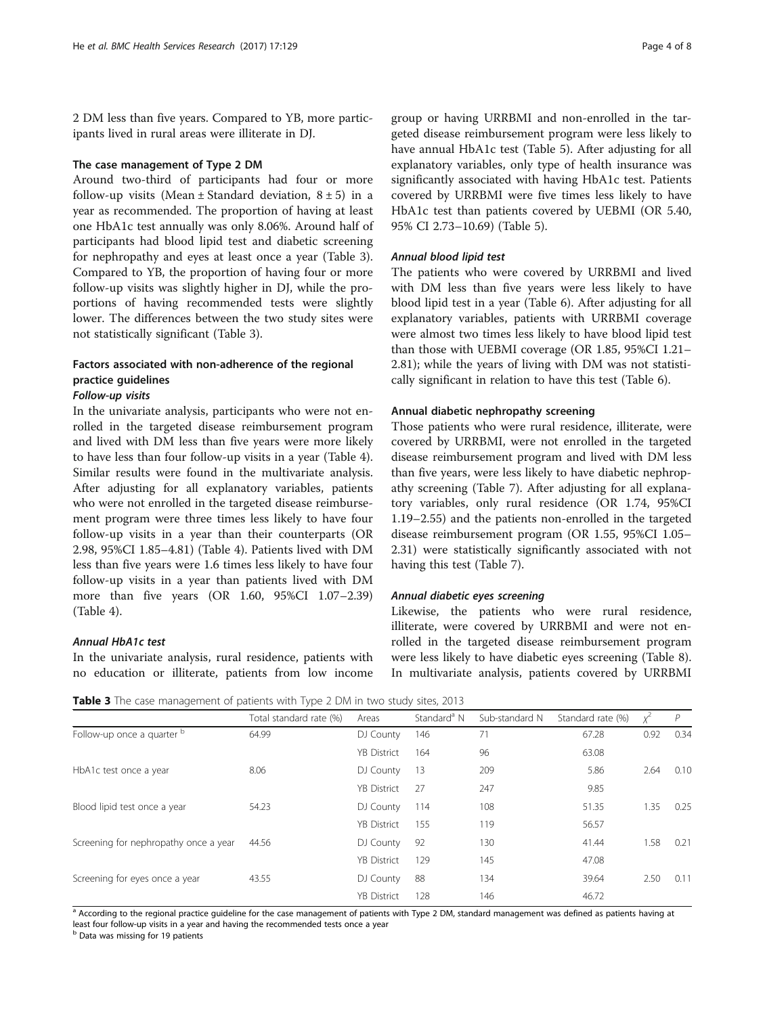2 DM less than five years. Compared to YB, more participants lived in rural areas were illiterate in DJ.

# The case management of Type 2 DM

Around two-third of participants had four or more follow-up visits (Mean  $\pm$  Standard deviation,  $8 \pm 5$ ) in a year as recommended. The proportion of having at least one HbA1c test annually was only 8.06%. Around half of participants had blood lipid test and diabetic screening for nephropathy and eyes at least once a year (Table 3). Compared to YB, the proportion of having four or more follow-up visits was slightly higher in DJ, while the proportions of having recommended tests were slightly lower. The differences between the two study sites were not statistically significant (Table 3).

# Factors associated with non-adherence of the regional practice guidelines

# Follow-up visits

In the univariate analysis, participants who were not enrolled in the targeted disease reimbursement program and lived with DM less than five years were more likely to have less than four follow-up visits in a year (Table [4](#page-4-0)). Similar results were found in the multivariate analysis. After adjusting for all explanatory variables, patients who were not enrolled in the targeted disease reimbursement program were three times less likely to have four follow-up visits in a year than their counterparts (OR 2.98, 95%CI 1.85–4.81) (Table [4](#page-4-0)). Patients lived with DM less than five years were 1.6 times less likely to have four follow-up visits in a year than patients lived with DM more than five years (OR 1.60, 95%CI 1.07–2.39) (Table [4\)](#page-4-0).

# Annual HbA1c test

In the univariate analysis, rural residence, patients with no education or illiterate, patients from low income group or having URRBMI and non-enrolled in the targeted disease reimbursement program were less likely to have annual HbA1c test (Table [5\)](#page-4-0). After adjusting for all explanatory variables, only type of health insurance was significantly associated with having HbA1c test. Patients covered by URRBMI were five times less likely to have HbA1c test than patients covered by UEBMI (OR 5.40, 95% CI 2.73–10.69) (Table [5](#page-4-0)).

# Annual blood lipid test

The patients who were covered by URRBMI and lived with DM less than five years were less likely to have blood lipid test in a year (Table [6\)](#page-5-0). After adjusting for all explanatory variables, patients with URRBMI coverage were almost two times less likely to have blood lipid test than those with UEBMI coverage (OR 1.85, 95%CI 1.21– 2.81); while the years of living with DM was not statistically significant in relation to have this test (Table [6](#page-5-0)).

## Annual diabetic nephropathy screening

Those patients who were rural residence, illiterate, were covered by URRBMI, were not enrolled in the targeted disease reimbursement program and lived with DM less than five years, were less likely to have diabetic nephropathy screening (Table [7\)](#page-5-0). After adjusting for all explanatory variables, only rural residence (OR 1.74, 95%CI 1.19–2.55) and the patients non-enrolled in the targeted disease reimbursement program (OR 1.55, 95%CI 1.05– 2.31) were statistically significantly associated with not having this test (Table [7\)](#page-5-0).

# Annual diabetic eyes screening

Likewise, the patients who were rural residence, illiterate, were covered by URRBMI and were not enrolled in the targeted disease reimbursement program were less likely to have diabetic eyes screening (Table [8](#page-6-0)). In multivariate analysis, patients covered by URRBMI

Table 3 The case management of patients with Type 2 DM in two study sites, 2013

|                                       | Total standard rate (%) | Areas              | Standard <sup>a</sup> N | Sub-standard N | Standard rate (%) | Χ    | $\mathcal{P}$ |
|---------------------------------------|-------------------------|--------------------|-------------------------|----------------|-------------------|------|---------------|
| Follow-up once a quarter b            | 64.99                   | DJ County          | 146                     | 71             | 67.28             | 0.92 | 0.34          |
|                                       |                         | <b>YB District</b> | 164                     | 96             | 63.08             |      |               |
| HbA1c test once a year                | 8.06                    | DJ County          | 13                      | 209            | 5.86              | 2.64 | 0.10          |
|                                       |                         | <b>YB District</b> | 27                      | 247            | 9.85              |      |               |
| Blood lipid test once a year          | 54.23                   | DJ County          | 114                     | 108            | 51.35             | 1.35 | 0.25          |
|                                       |                         | <b>YB District</b> | 155                     | 119            | 56.57             |      |               |
| Screening for nephropathy once a year | 44.56                   | DJ County          | 92                      | 130            | 41.44             | 1.58 | 0.21          |
|                                       |                         | <b>YB District</b> | 129                     | 145            | 47.08             |      |               |
| Screening for eyes once a year        | 43.55                   | DJ County          | 88                      | 134            | 39.64             | 2.50 | 0.11          |
|                                       |                         | <b>YB</b> District | 128                     | 146            | 46.72             |      |               |

<sup>a</sup> According to the regional practice guideline for the case management of patients with Type 2 DM, standard management was defined as patients having at least four follow-up visits in a year and having the recommended tests once a year

**b** Data was missing for 19 patients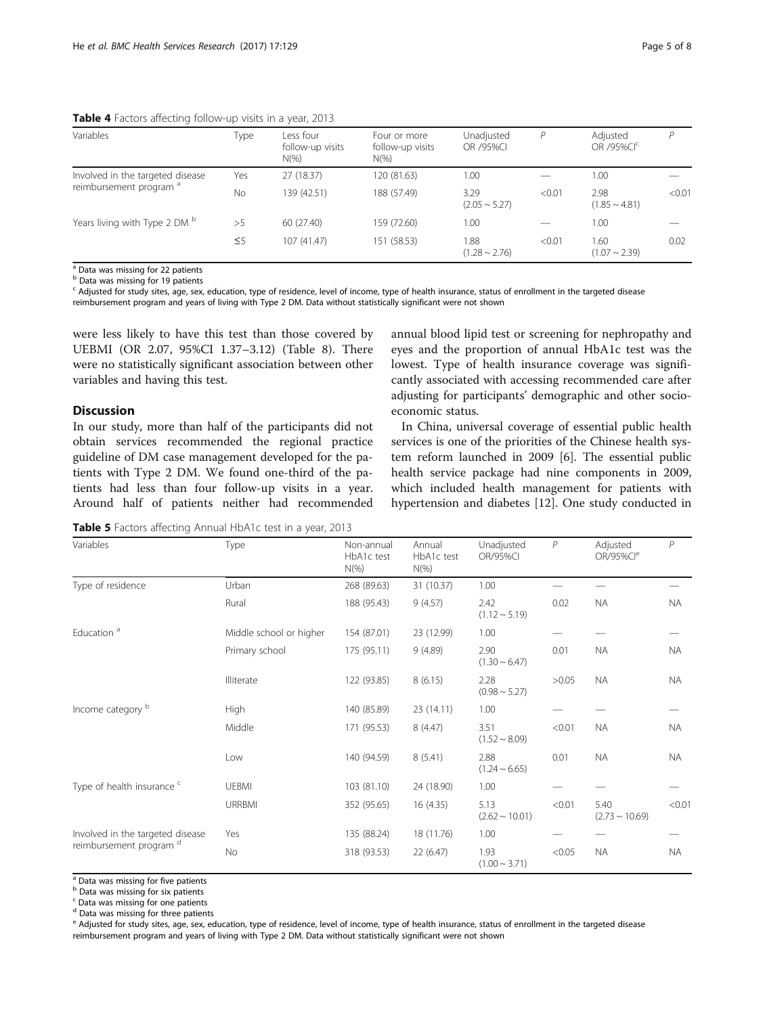<span id="page-4-0"></span>Table 4 Factors affecting follow-up visits in a year, 2013

| Variables                                | Type      | Less four<br>follow-up visits<br>$N(\%)$ | Four or more<br>follow-up visits<br>$N(\%)$ | Unadjusted<br>OR /95%CI    | Р      | Adjusted<br>OR /95%CI <sup>c</sup> | D      |
|------------------------------------------|-----------|------------------------------------------|---------------------------------------------|----------------------------|--------|------------------------------------|--------|
| Involved in the targeted disease         | Yes       | 27 (18.37)                               | 120 (81.63)                                 | 1.00                       |        | 1.00                               |        |
| reimbursement program <sup>a</sup>       | <b>No</b> | 139 (42.51)                              | 188 (57.49)                                 | 3.29<br>$(2.05 \sim 5.27)$ | < 0.01 | 2.98<br>$(1.85 \sim 4.81)$         | < 0.01 |
| Years living with Type 2 DM <sup>b</sup> | >5        | 60 (27.40)                               | 159 (72.60)                                 | 1.00                       |        | 1.00                               |        |
|                                          | $\leq 5$  | 107 (41.47)                              | 151 (58.53)                                 | 1.88<br>$(1.28 \sim 2.76)$ | < 0.01 | 1.60<br>$(1.07 \sim 2.39)$         | 0.02   |

a Data was missing for 22 patients

b Data was missing for 19 patients

<sup>c</sup> Adjusted for study sites, age, sex, education, type of residence, level of income, type of health insurance, status of enrollment in the targeted disease reimbursement program and years of living with Type 2 DM. Data without statistically significant were not shown

were less likely to have this test than those covered by UEBMI (OR 2.07, 95%CI 1.37–3.12) (Table [8\)](#page-6-0). There were no statistically significant association between other variables and having this test.

# Discussion

In our study, more than half of the participants did not obtain services recommended the regional practice guideline of DM case management developed for the patients with Type 2 DM. We found one-third of the patients had less than four follow-up visits in a year. Around half of patients neither had recommended

annual blood lipid test or screening for nephropathy and eyes and the proportion of annual HbA1c test was the lowest. Type of health insurance coverage was significantly associated with accessing recommended care after adjusting for participants' demographic and other socioeconomic status.

In China, universal coverage of essential public health services is one of the priorities of the Chinese health system reform launched in 2009 [[6\]](#page-7-0). The essential public health service package had nine components in 2009, which included health management for patients with hypertension and diabetes [\[12](#page-7-0)]. One study conducted in

Table 5 Factors affecting Annual HbA1c test in a year, 2013

| Variables                                    | Type                    | Non-annual<br>HbA1c test<br>$N(\%)$                                                                                                                                                                                                               | Annual<br>HbA1c test<br>$N(\%)$ | Unadjusted<br>OR/95%CI      | $\,P$     | Adjusted<br>OR/95%Cl <sup>e</sup> | P         |
|----------------------------------------------|-------------------------|---------------------------------------------------------------------------------------------------------------------------------------------------------------------------------------------------------------------------------------------------|---------------------------------|-----------------------------|-----------|-----------------------------------|-----------|
| Type of residence                            | Urban                   | 268 (89.63)                                                                                                                                                                                                                                       | 31 (10.37)                      | 1.00                        |           |                                   |           |
|                                              | Rural                   | 188 (95.43)                                                                                                                                                                                                                                       | 9(4.57)                         | 2.42<br>$(1.12 \sim 5.19)$  | 0.02      | <b>NA</b>                         | <b>NA</b> |
| Education <sup>a</sup>                       | Middle school or higher | 154 (87.01)                                                                                                                                                                                                                                       | 23 (12.99)                      | 1.00                        |           |                                   |           |
|                                              | Primary school          | 9(4.89)<br>175 (95.11)<br>8(6.15)<br>122 (93.85)<br>140 (85.89)<br>23(14.11)<br>8(4.47)<br>171 (95.53)<br>140 (94.59)<br>8(5.41)<br>103 (81.10)<br>24 (18.90)<br>352 (95.65)<br>16 (4.35)<br>135 (88.24)<br>18 (11.76)<br>318 (93.53)<br>22(6.47) | 2.90<br>$(1.30 \sim 6.47)$      | 0.01                        | <b>NA</b> | NA.                               |           |
|                                              | Illiterate              |                                                                                                                                                                                                                                                   |                                 | 2.28<br>$(0.98 \sim 5.27)$  | >0.05     | <b>NA</b>                         | NA.       |
| Income category b<br>reimbursement program d | High                    |                                                                                                                                                                                                                                                   |                                 | 1.00                        |           |                                   |           |
|                                              | Middle                  |                                                                                                                                                                                                                                                   |                                 | 3.51<br>$(1.52 \sim 8.09)$  | < 0.01    | <b>NA</b>                         | <b>NA</b> |
|                                              | Low                     |                                                                                                                                                                                                                                                   |                                 | 2.88<br>$(1.24 \sim 6.65)$  | 0.01      | <b>NA</b>                         | <b>NA</b> |
| Type of health insurance c                   | <b>UEBMI</b>            |                                                                                                                                                                                                                                                   |                                 | 1.00                        |           |                                   |           |
|                                              | <b>URRBMI</b>           |                                                                                                                                                                                                                                                   |                                 | 5.13<br>$(2.62 \sim 10.01)$ | < 0.01    | 5.40<br>$(2.73 \sim 10.69)$       | < 0.01    |
| Involved in the targeted disease             | Yes                     |                                                                                                                                                                                                                                                   |                                 | 1.00                        |           |                                   |           |
|                                              | <b>No</b>               |                                                                                                                                                                                                                                                   |                                 | 1.93<br>$(1.00 \sim 3.71)$  | < 0.05    | <b>NA</b>                         | <b>NA</b> |

<sup>a</sup> Data was missing for five patients

**b** Data was missing for six patients

 $c$  Data was missing for one patients

<sup>d</sup> Data was missing for three patients

<sup>e</sup> Adjusted for study sites, age, sex, education, type of residence, level of income, type of health insurance, status of enrollment in the targeted disease reimbursement program and years of living with Type 2 DM. Data without statistically significant were not shown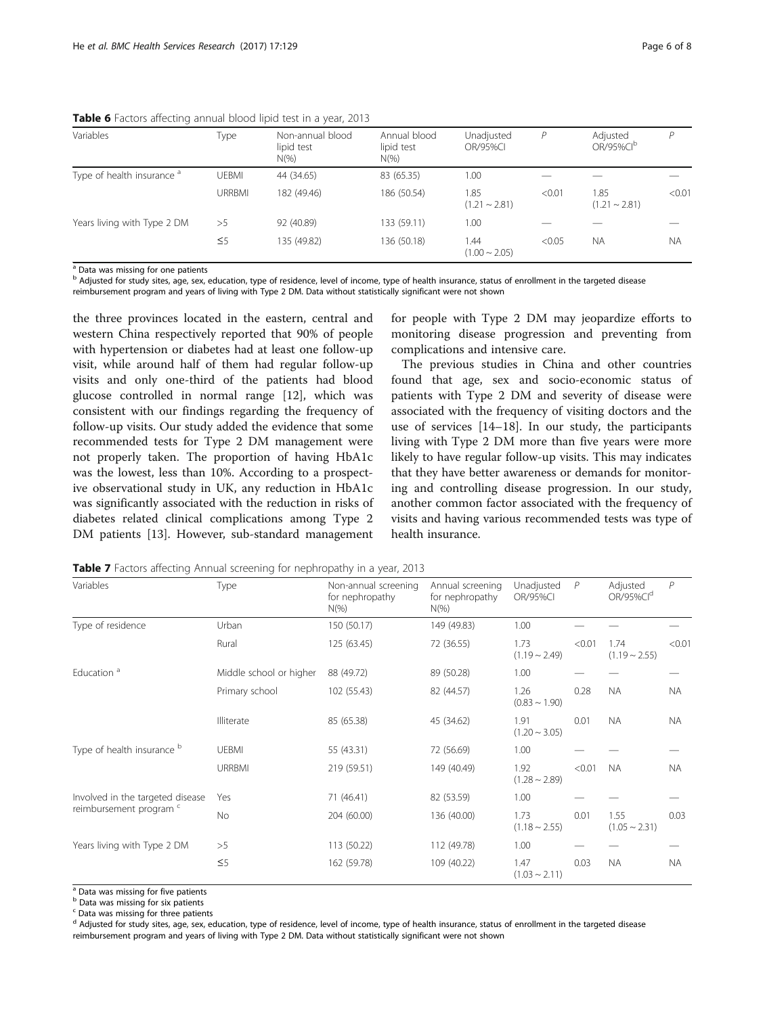| Variables                             | Type          | Non-annual blood<br>lipid test<br>$N(\% )$ | Annual blood<br>lipid test<br>$N(\%)$ | Unadjusted<br><b>OR/95%CI</b> | Р      | Adjusted<br>OR/95%CI <sup>b</sup> | P         |
|---------------------------------------|---------------|--------------------------------------------|---------------------------------------|-------------------------------|--------|-----------------------------------|-----------|
| Type of health insurance <sup>a</sup> | <b>UEBMI</b>  | 44 (34.65)                                 | 83 (65.35)                            | 1.00                          |        |                                   |           |
|                                       | <b>URRBMI</b> | 182 (49.46)                                | 186 (50.54)                           | 1.85<br>$(1.21 \sim 2.81)$    | < 0.01 | 1.85<br>$(1.21 \sim 2.81)$        | < 0.01    |
| Years living with Type 2 DM           | >5            | 92 (40.89)                                 | 133 (59.11)                           | 1.00                          |        |                                   |           |
|                                       | $\leq 5$      | 135 (49.82)                                | 136 (50.18)                           | .44<br>$(1.00 \sim 2.05)$     | < 0.05 | <b>NA</b>                         | <b>NA</b> |

<span id="page-5-0"></span>Table 6 Factors affecting annual blood lipid test in a year, 2013

<sup>a</sup> Data was missing for one patients

<sup>b</sup> Adjusted for study sites, age, sex, education, type of residence, level of income, type of health insurance, status of enrollment in the targeted disease

reimbursement program and years of living with Type 2 DM. Data without statistically significant were not shown

the three provinces located in the eastern, central and western China respectively reported that 90% of people with hypertension or diabetes had at least one follow-up visit, while around half of them had regular follow-up visits and only one-third of the patients had blood glucose controlled in normal range [\[12](#page-7-0)], which was consistent with our findings regarding the frequency of follow-up visits. Our study added the evidence that some recommended tests for Type 2 DM management were not properly taken. The proportion of having HbA1c was the lowest, less than 10%. According to a prospective observational study in UK, any reduction in HbA1c was significantly associated with the reduction in risks of diabetes related clinical complications among Type 2 DM patients [[13](#page-7-0)]. However, sub-standard management

for people with Type 2 DM may jeopardize efforts to monitoring disease progression and preventing from complications and intensive care.

The previous studies in China and other countries found that age, sex and socio-economic status of patients with Type 2 DM and severity of disease were associated with the frequency of visiting doctors and the use of services [[14](#page-7-0)–[18](#page-7-0)]. In our study, the participants living with Type 2 DM more than five years were more likely to have regular follow-up visits. This may indicates that they have better awareness or demands for monitoring and controlling disease progression. In our study, another common factor associated with the frequency of visits and having various recommended tests was type of health insurance.

| Variables                        | Type                    | Non-annual screening<br>for nephropathy<br>$N(\%)$ | Annual screening<br>for nephropathy<br>$N(\%)$ | Unadjusted<br><b>OR/95%CI</b> | $\overline{P}$ | Adjusted<br>OR/95%Cld      | $\mathcal P$ |
|----------------------------------|-------------------------|----------------------------------------------------|------------------------------------------------|-------------------------------|----------------|----------------------------|--------------|
| Type of residence                | Urban                   | 150 (50.17)                                        | 149 (49.83)                                    | 1.00                          |                |                            |              |
|                                  | Rural                   | 125 (63.45)                                        | 72 (36.55)                                     | 1.73<br>$(1.19 - 2.49)$       | < 0.01         | 1.74<br>$(1.19 \sim 2.55)$ | < 0.01       |
| Education <sup>a</sup>           | Middle school or higher | 88 (49.72)                                         | 89 (50.28)                                     | 1.00                          |                |                            |              |
|                                  | Primary school          | 102 (55.43)                                        | 82 (44.57)                                     | 1.26<br>$(0.83 \sim 1.90)$    | 0.28           | NA.                        | <b>NA</b>    |
|                                  | Illiterate              | 85 (65.38)                                         | 45 (34.62)                                     | 1.91<br>$(1.20 \sim 3.05)$    | 0.01           | <b>NA</b>                  | <b>NA</b>    |
| Type of health insurance b       | <b>UEBMI</b>            | 55 (43.31)                                         | 72 (56.69)                                     | 1.00                          |                |                            |              |
|                                  | URRBMI                  | 219 (59.51)                                        | 149 (40.49)                                    | 1.92<br>$(1.28 \sim 2.89)$    | < 0.01         | <b>NA</b>                  | <b>NA</b>    |
| Involved in the targeted disease | Yes                     | 71 (46.41)                                         | 82 (53.59)                                     | 1.00                          |                |                            |              |
| reimbursement program c          | No                      | 204 (60.00)                                        | 136 (40.00)                                    | 1.73<br>$(1.18 \sim 2.55)$    | 0.01           | 1.55<br>$(1.05 \sim 2.31)$ | 0.03         |
| Years living with Type 2 DM      | >5                      | 113 (50.22)                                        | 112 (49.78)                                    | 1.00                          |                |                            |              |
|                                  | $\leq 5$                | 162 (59.78)                                        | 109 (40.22)                                    | 1.47<br>$(1.03 \sim 2.11)$    | 0.03           | NA.                        | <b>NA</b>    |

Table 7 Factors affecting Annual screening for nephropathy in a year, 2013

<sup>a</sup> Data was missing for five patients

b Data was missing for six patients

<sup>c</sup> Data was missing for three patients

<sup>d</sup> Adjusted for study sites, age, sex, education, type of residence, level of income, type of health insurance, status of enrollment in the targeted disease reimbursement program and years of living with Type 2 DM. Data without statistically significant were not shown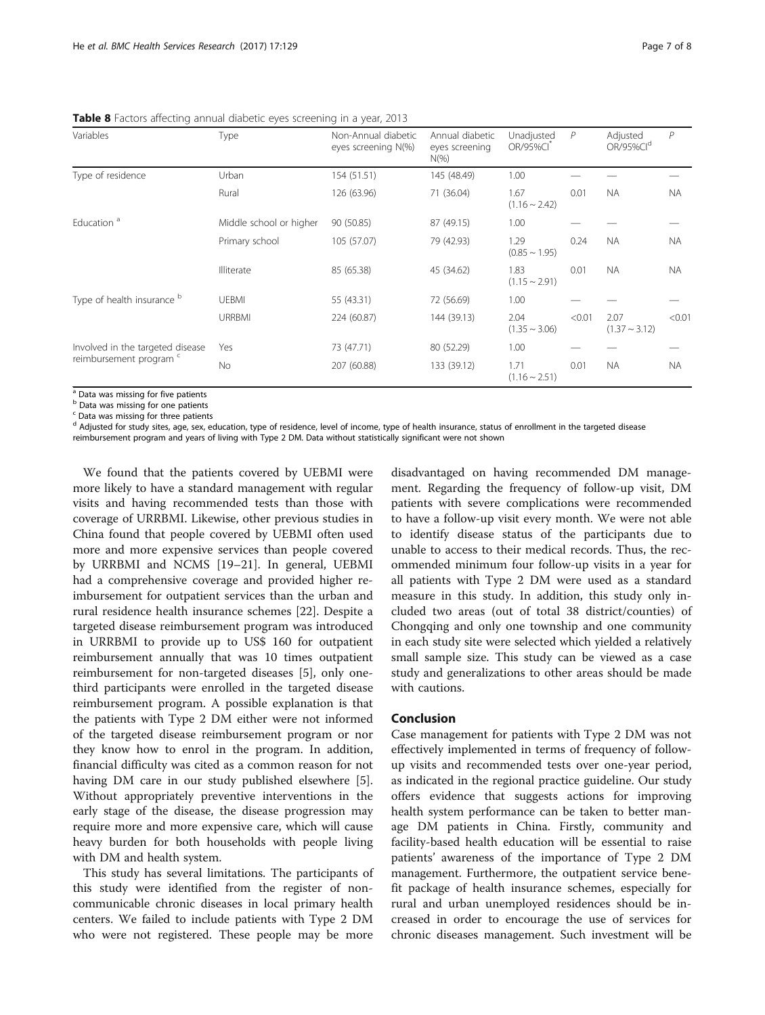| Variables                        | Type                    | Non-Annual diabetic<br>eyes screening N(%) | Annual diabetic<br>eyes screening<br>$N(\%)$ | Unadjusted<br>OR/95%CI     | $\mathcal{P}$ | Adjusted<br>OR/95%Cl <sup>d</sup> | $\mathcal P$ |
|----------------------------------|-------------------------|--------------------------------------------|----------------------------------------------|----------------------------|---------------|-----------------------------------|--------------|
| Type of residence                | Urban                   | 154 (51.51)                                | 145 (48.49)                                  | 1.00                       |               |                                   |              |
|                                  | Rural                   | 126 (63.96)                                | 71 (36.04)                                   | 1.67<br>$(1.16 \sim 2.42)$ | 0.01          | NA.                               | <b>NA</b>    |
| Education <sup>a</sup>           | Middle school or higher | 90 (50.85)                                 | 87 (49.15)                                   | 1.00                       |               |                                   |              |
|                                  | Primary school          | 105 (57.07)                                | 79 (42.93)                                   | 1.29<br>$(0.85 \sim 1.95)$ | 0.24          | <b>NA</b>                         | <b>NA</b>    |
|                                  | Illiterate              | 85 (65.38)                                 | 45 (34.62)                                   | 1.83<br>$(1.15 \sim 2.91)$ | 0.01          | <b>NA</b>                         | <b>NA</b>    |
| Type of health insurance b       | <b>UEBMI</b>            | 55 (43.31)                                 | 72 (56.69)                                   | 1.00                       |               |                                   |              |
|                                  | <b>URRBMI</b>           | 224 (60.87)                                | 144 (39.13)                                  | 2.04<br>$(1.35 \sim 3.06)$ | < 0.01        | 2.07<br>$(1.37 \sim 3.12)$        | < 0.01       |
| Involved in the targeted disease | Yes                     | 73 (47.71)                                 | 80 (52.29)                                   | 1.00                       |               |                                   |              |
| reimbursement program c          | No.                     | 207 (60.88)                                | 133 (39.12)                                  | 1.71<br>$(1.16 \sim 2.51)$ | 0.01          | NA.                               | <b>NA</b>    |

<span id="page-6-0"></span>Table 8 Factors affecting annual diabetic eyes screening in a year, 2013

<sup>a</sup> Data was missing for five patients

b Data was missing for one patients

 $c$  Data was missing for three patients

<sup>d</sup> Adjusted for study sites, age, sex, education, type of residence, level of income, type of health insurance, status of enrollment in the targeted disease

reimbursement program and years of living with Type 2 DM. Data without statistically significant were not shown

We found that the patients covered by UEBMI were more likely to have a standard management with regular visits and having recommended tests than those with coverage of URRBMI. Likewise, other previous studies in China found that people covered by UEBMI often used more and more expensive services than people covered by URRBMI and NCMS [[19](#page-7-0)–[21\]](#page-7-0). In general, UEBMI had a comprehensive coverage and provided higher reimbursement for outpatient services than the urban and rural residence health insurance schemes [[22](#page-7-0)]. Despite a targeted disease reimbursement program was introduced in URRBMI to provide up to US\$ 160 for outpatient reimbursement annually that was 10 times outpatient reimbursement for non-targeted diseases [[5\]](#page-7-0), only onethird participants were enrolled in the targeted disease reimbursement program. A possible explanation is that the patients with Type 2 DM either were not informed of the targeted disease reimbursement program or nor they know how to enrol in the program. In addition, financial difficulty was cited as a common reason for not having DM care in our study published elsewhere [\[5](#page-7-0)]. Without appropriately preventive interventions in the early stage of the disease, the disease progression may require more and more expensive care, which will cause heavy burden for both households with people living with DM and health system.

This study has several limitations. The participants of this study were identified from the register of noncommunicable chronic diseases in local primary health centers. We failed to include patients with Type 2 DM who were not registered. These people may be more

disadvantaged on having recommended DM management. Regarding the frequency of follow-up visit, DM patients with severe complications were recommended to have a follow-up visit every month. We were not able to identify disease status of the participants due to unable to access to their medical records. Thus, the recommended minimum four follow-up visits in a year for all patients with Type 2 DM were used as a standard measure in this study. In addition, this study only included two areas (out of total 38 district/counties) of Chongqing and only one township and one community in each study site were selected which yielded a relatively small sample size. This study can be viewed as a case study and generalizations to other areas should be made with cautions.

# Conclusion

Case management for patients with Type 2 DM was not effectively implemented in terms of frequency of followup visits and recommended tests over one-year period, as indicated in the regional practice guideline. Our study offers evidence that suggests actions for improving health system performance can be taken to better manage DM patients in China. Firstly, community and facility-based health education will be essential to raise patients' awareness of the importance of Type 2 DM management. Furthermore, the outpatient service benefit package of health insurance schemes, especially for rural and urban unemployed residences should be increased in order to encourage the use of services for chronic diseases management. Such investment will be